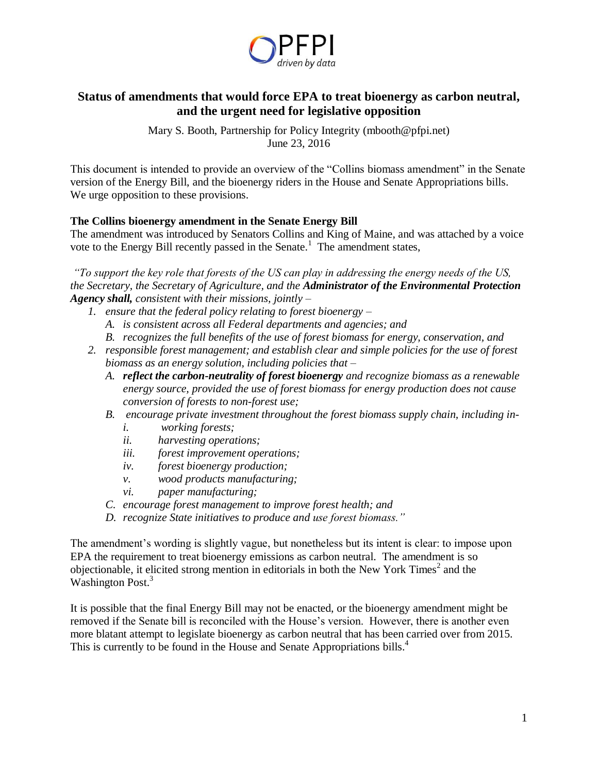

# **Status of amendments that would force EPA to treat bioenergy as carbon neutral, and the urgent need for legislative opposition**

Mary S. Booth, Partnership for Policy Integrity (mbooth@pfpi.net) June 23, 2016

This document is intended to provide an overview of the "Collins biomass amendment" in the Senate version of the Energy Bill, and the bioenergy riders in the House and Senate Appropriations bills. We urge opposition to these provisions.

### **The Collins bioenergy amendment in the Senate Energy Bill**

The amendment was introduced by Senators Collins and King of Maine, and was attached by a voice vote to the Energy Bill recently passed in the Senate.<sup>1</sup> The amendment states,

*"To support the key role that forests of the US can play in addressing the energy needs of the US, the Secretary, the Secretary of Agriculture, and the Administrator of the Environmental Protection Agency shall, consistent with their missions, jointly –*

- *1. ensure that the federal policy relating to forest bioenergy –*
	- *A. is consistent across all Federal departments and agencies; and*
	- *B. recognizes the full benefits of the use of forest biomass for energy, conservation, and*
- *2. responsible forest management; and establish clear and simple policies for the use of forest biomass as an energy solution, including policies that –*
	- *A. reflect the carbon-neutrality of forest bioenergy and recognize biomass as a renewable energy source, provided the use of forest biomass for energy production does not cause conversion of forests to non-forest use;*
	- *B. encourage private investment throughout the forest biomass supply chain, including in*
		- *i. working forests;*
		- *ii. harvesting operations;*
		- *iii. forest improvement operations;*
		- *iv. forest bioenergy production;*
		- *v. wood products manufacturing;*
		- *vi. paper manufacturing;*
	- *C. encourage forest management to improve forest health; and*
	- *D. recognize State initiatives to produce and use forest biomass."*

The amendment's wording is slightly vague, but nonetheless but its intent is clear: to impose upon EPA the requirement to treat bioenergy emissions as carbon neutral. The amendment is so objectionable, it elicited strong mention in editorials in both the New York Times $2$  and the Washington Post.<sup>3</sup>

It is possible that the final Energy Bill may not be enacted, or the bioenergy amendment might be removed if the Senate bill is reconciled with the House's version. However, there is another even more blatant attempt to legislate bioenergy as carbon neutral that has been carried over from 2015. This is currently to be found in the House and Senate Appropriations bills.<sup>4</sup>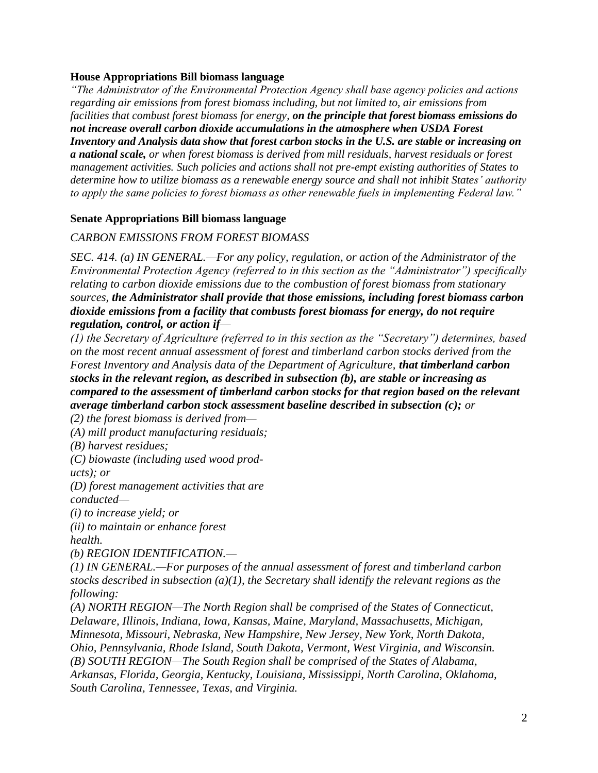### **House Appropriations Bill biomass language**

*"The Administrator of the Environmental Protection Agency shall base agency policies and actions regarding air emissions from forest biomass including, but not limited to, air emissions from facilities that combust forest biomass for energy, on the principle that forest biomass emissions do not increase overall carbon dioxide accumulations in the atmosphere when USDA Forest Inventory and Analysis data show that forest carbon stocks in the U.S. are stable or increasing on a national scale, or when forest biomass is derived from mill residuals, harvest residuals or forest management activities. Such policies and actions shall not pre-empt existing authorities of States to determine how to utilize biomass as a renewable energy source and shall not inhibit States' authority to apply the same policies to forest biomass as other renewable fuels in implementing Federal law."*

### **Senate Appropriations Bill biomass language**

### *CARBON EMISSIONS FROM FOREST BIOMASS*

*SEC. 414. (a) IN GENERAL.—For any policy, regulation, or action of the Administrator of the Environmental Protection Agency (referred to in this section as the "Administrator") specifically relating to carbon dioxide emissions due to the combustion of forest biomass from stationary sources, the Administrator shall provide that those emissions, including forest biomass carbon dioxide emissions from a facility that combusts forest biomass for energy, do not require regulation, control, or action if—*

*(1) the Secretary of Agriculture (referred to in this section as the "Secretary") determines, based on the most recent annual assessment of forest and timberland carbon stocks derived from the Forest Inventory and Analysis data of the Department of Agriculture, that timberland carbon stocks in the relevant region, as described in subsection (b), are stable or increasing as compared to the assessment of timberland carbon stocks for that region based on the relevant average timberland carbon stock assessment baseline described in subsection (c); or*

*(2) the forest biomass is derived from—*

*(A) mill product manufacturing residuals;*

*(B) harvest residues;*

*(C) biowaste (including used wood prod-*

*ucts); or*

*(D) forest management activities that are conducted—*

*(i) to increase yield; or*

*(ii) to maintain or enhance forest health.*

*(b) REGION IDENTIFICATION.—*

*(1) IN GENERAL.—For purposes of the annual assessment of forest and timberland carbon stocks described in subsection (a)(1), the Secretary shall identify the relevant regions as the following:*

*(A) NORTH REGION—The North Region shall be comprised of the States of Connecticut, Delaware, Illinois, Indiana, Iowa, Kansas, Maine, Maryland, Massachusetts, Michigan, Minnesota, Missouri, Nebraska, New Hampshire, New Jersey, New York, North Dakota, Ohio, Pennsylvania, Rhode Island, South Dakota, Vermont, West Virginia, and Wisconsin. (B) SOUTH REGION—The South Region shall be comprised of the States of Alabama, Arkansas, Florida, Georgia, Kentucky, Louisiana, Mississippi, North Carolina, Oklahoma, South Carolina, Tennessee, Texas, and Virginia.*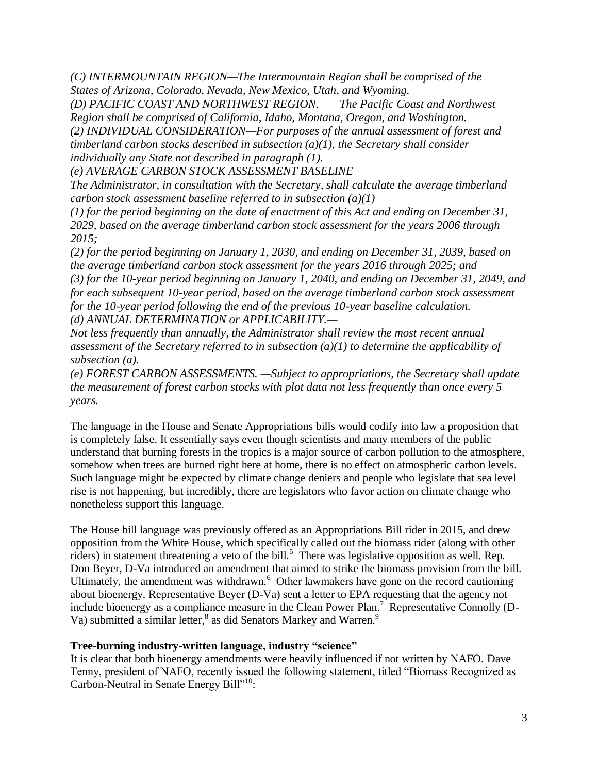*(C) INTERMOUNTAIN REGION—The Intermountain Region shall be comprised of the States of Arizona, Colorado, Nevada, New Mexico, Utah, and Wyoming.*

*(D) PACIFIC COAST AND NORTHWEST REGION.——The Pacific Coast and Northwest Region shall be comprised of California, Idaho, Montana, Oregon, and Washington. (2) INDIVIDUAL CONSIDERATION—For purposes of the annual assessment of forest and timberland carbon stocks described in subsection (a)(1), the Secretary shall consider individually any State not described in paragraph (1).*

*(e) AVERAGE CARBON STOCK ASSESSMENT BASELINE—*

*The Administrator, in consultation with the Secretary, shall calculate the average timberland carbon stock assessment baseline referred to in subsection (a)(1)—*

*(1) for the period beginning on the date of enactment of this Act and ending on December 31, 2029, based on the average timberland carbon stock assessment for the years 2006 through 2015;*

*(2) for the period beginning on January 1, 2030, and ending on December 31, 2039, based on the average timberland carbon stock assessment for the years 2016 through 2025; and (3) for the 10-year period beginning on January 1, 2040, and ending on December 31, 2049, and for each subsequent 10-year period, based on the average timberland carbon stock assessment for the 10-year period following the end of the previous 10-year baseline calculation. (d) ANNUAL DETERMINATION or APPLICABILITY.—*

*Not less frequently than annually, the Administrator shall review the most recent annual assessment of the Secretary referred to in subsection (a)(1) to determine the applicability of subsection (a).*

*(e) FOREST CARBON ASSESSMENTS. —Subject to appropriations, the Secretary shall update the measurement of forest carbon stocks with plot data not less frequently than once every 5 years.*

The language in the House and Senate Appropriations bills would codify into law a proposition that is completely false. It essentially says even though scientists and many members of the public understand that burning forests in the tropics is a major source of carbon pollution to the atmosphere, somehow when trees are burned right here at home, there is no effect on atmospheric carbon levels. Such language might be expected by climate change deniers and people who legislate that sea level rise is not happening, but incredibly, there are legislators who favor action on climate change who nonetheless support this language.

The House bill language was previously offered as an Appropriations Bill rider in 2015, and drew opposition from the White House, which specifically called out the biomass rider (along with other riders) in statement threatening a veto of the bill.<sup>5</sup> There was legislative opposition as well. Rep. Don Beyer, D-Va introduced an amendment that aimed to strike the biomass provision from the bill. Ultimately, the amendment was withdrawn.<sup>6</sup> Other lawmakers have gone on the record cautioning about bioenergy. Representative Beyer (D-Va) sent a letter to EPA requesting that the agency not include bioenergy as a compliance measure in the Clean Power Plan.<sup>7</sup> Representative Connolly (D-Va) submitted a similar letter,<sup>8</sup> as did Senators Markey and Warren.<sup>9</sup>

### **Tree-burning industry-written language, industry "science"**

It is clear that both bioenergy amendments were heavily influenced if not written by NAFO. Dave Tenny, president of NAFO, recently issued the following statement, titled "Biomass Recognized as Carbon-Neutral in Senate Energy Bill"<sup>10</sup>: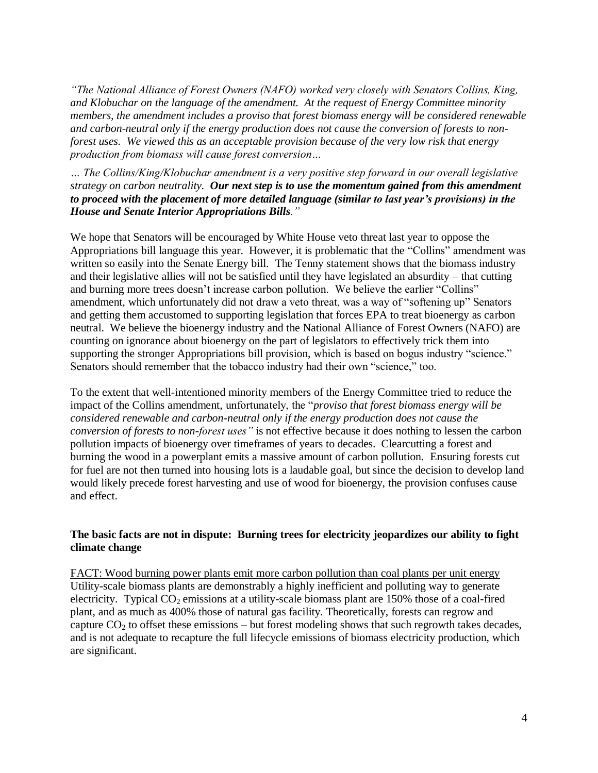*"The National Alliance of Forest Owners (NAFO) worked very closely with Senators Collins, King, and Klobuchar on the language of the amendment. At the request of Energy Committee minority members, the amendment includes a proviso that forest biomass energy will be considered renewable and carbon-neutral only if the energy production does not cause the conversion of forests to nonforest uses. We viewed this as an acceptable provision because of the very low risk that energy production from biomass will cause forest conversion…*

*… The Collins/King/Klobuchar amendment is a very positive step forward in our overall legislative strategy on carbon neutrality. Our next step is to use the momentum gained from this amendment to proceed with the placement of more detailed language (similar to last year's provisions) in the House and Senate Interior Appropriations Bills."*

We hope that Senators will be encouraged by White House veto threat last year to oppose the Appropriations bill language this year. However, it is problematic that the "Collins" amendment was written so easily into the Senate Energy bill. The Tenny statement shows that the biomass industry and their legislative allies will not be satisfied until they have legislated an absurdity – that cutting and burning more trees doesn't increase carbon pollution. We believe the earlier "Collins" amendment, which unfortunately did not draw a veto threat, was a way of "softening up" Senators and getting them accustomed to supporting legislation that forces EPA to treat bioenergy as carbon neutral. We believe the bioenergy industry and the National Alliance of Forest Owners (NAFO) are counting on ignorance about bioenergy on the part of legislators to effectively trick them into supporting the stronger Appropriations bill provision, which is based on bogus industry "science." Senators should remember that the tobacco industry had their own "science," too.

To the extent that well-intentioned minority members of the Energy Committee tried to reduce the impact of the Collins amendment, unfortunately, the "*proviso that forest biomass energy will be considered renewable and carbon-neutral only if the energy production does not cause the conversion of forests to non-forest uses"* is not effective because it does nothing to lessen the carbon pollution impacts of bioenergy over timeframes of years to decades. Clearcutting a forest and burning the wood in a powerplant emits a massive amount of carbon pollution. Ensuring forests cut for fuel are not then turned into housing lots is a laudable goal, but since the decision to develop land would likely precede forest harvesting and use of wood for bioenergy, the provision confuses cause and effect.

### **The basic facts are not in dispute: Burning trees for electricity jeopardizes our ability to fight climate change**

FACT: Wood burning power plants emit more carbon pollution than coal plants per unit energy Utility-scale biomass plants are demonstrably a highly inefficient and polluting way to generate electricity. Typical  $CO_2$  emissions at a utility-scale biomass plant are 150% those of a coal-fired plant, and as much as 400% those of natural gas facility. Theoretically, forests can regrow and capture  $CO<sub>2</sub>$  to offset these emissions – but forest modeling shows that such regrowth takes decades, and is not adequate to recapture the full lifecycle emissions of biomass electricity production, which are significant.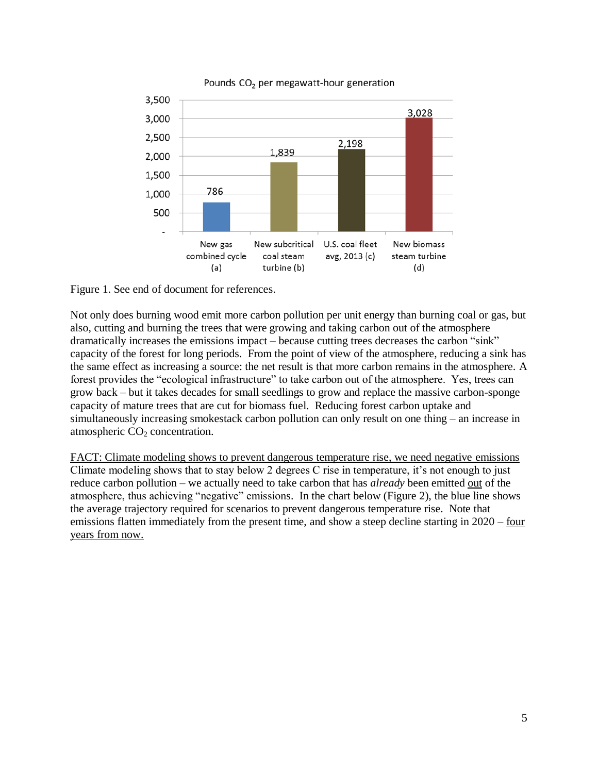



Figure 1. See end of document for references.

Not only does burning wood emit more carbon pollution per unit energy than burning coal or gas, but also, cutting and burning the trees that were growing and taking carbon out of the atmosphere dramatically increases the emissions impact – because cutting trees decreases the carbon "sink" capacity of the forest for long periods. From the point of view of the atmosphere, reducing a sink has the same effect as increasing a source: the net result is that more carbon remains in the atmosphere. A forest provides the "ecological infrastructure" to take carbon out of the atmosphere. Yes, trees can grow back – but it takes decades for small seedlings to grow and replace the massive carbon-sponge capacity of mature trees that are cut for biomass fuel. Reducing forest carbon uptake and simultaneously increasing smokestack carbon pollution can only result on one thing – an increase in atmospheric  $CO<sub>2</sub>$  concentration.

FACT: Climate modeling shows to prevent dangerous temperature rise, we need negative emissions Climate modeling shows that to stay below 2 degrees C rise in temperature, it's not enough to just reduce carbon pollution – we actually need to take carbon that has *already* been emitted out of the atmosphere, thus achieving "negative" emissions. In the chart below (Figure 2), the blue line shows the average trajectory required for scenarios to prevent dangerous temperature rise. Note that emissions flatten immediately from the present time, and show a steep decline starting in 2020 – four years from now.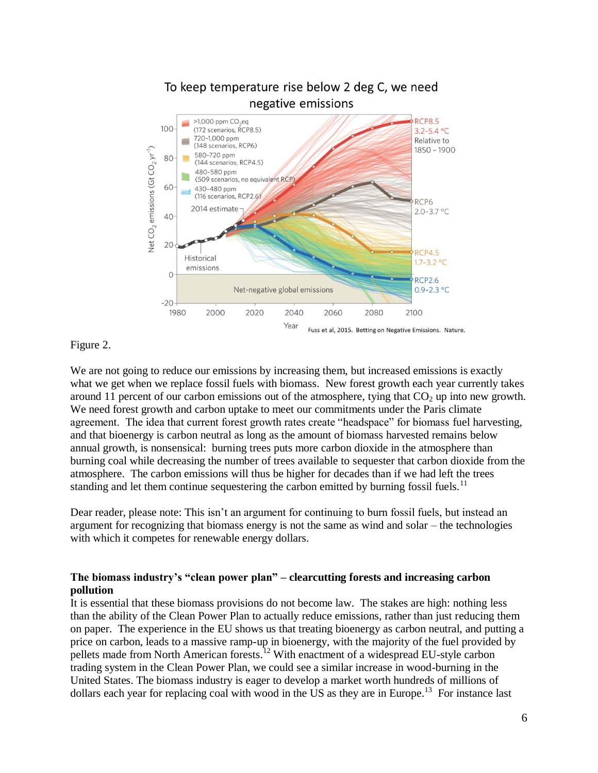

Figure 2.

We are not going to reduce our emissions by increasing them, but increased emissions is exactly what we get when we replace fossil fuels with biomass. New forest growth each year currently takes around 11 percent of our carbon emissions out of the atmosphere, tying that  $CO<sub>2</sub>$  up into new growth. We need forest growth and carbon uptake to meet our commitments under the Paris climate agreement. The idea that current forest growth rates create "headspace" for biomass fuel harvesting, and that bioenergy is carbon neutral as long as the amount of biomass harvested remains below annual growth, is nonsensical: burning trees puts more carbon dioxide in the atmosphere than burning coal while decreasing the number of trees available to sequester that carbon dioxide from the atmosphere. The carbon emissions will thus be higher for decades than if we had left the trees standing and let them continue sequestering the carbon emitted by burning fossil fuels.<sup>11</sup>

Dear reader, please note: This isn't an argument for continuing to burn fossil fuels, but instead an argument for recognizing that biomass energy is not the same as wind and solar – the technologies with which it competes for renewable energy dollars.

### **The biomass industry's "clean power plan" – clearcutting forests and increasing carbon pollution**

It is essential that these biomass provisions do not become law. The stakes are high: nothing less than the ability of the Clean Power Plan to actually reduce emissions, rather than just reducing them on paper. The experience in the EU shows us that treating bioenergy as carbon neutral, and putting a price on carbon, leads to a massive ramp-up in bioenergy, with the majority of the fuel provided by pellets made from North American forests.<sup>12</sup> With enactment of a widespread EU-style carbon trading system in the Clean Power Plan, we could see a similar increase in wood-burning in the United States. The biomass industry is eager to develop a market worth hundreds of millions of dollars each year for replacing coal with wood in the US as they are in Europe.<sup>13</sup> For instance last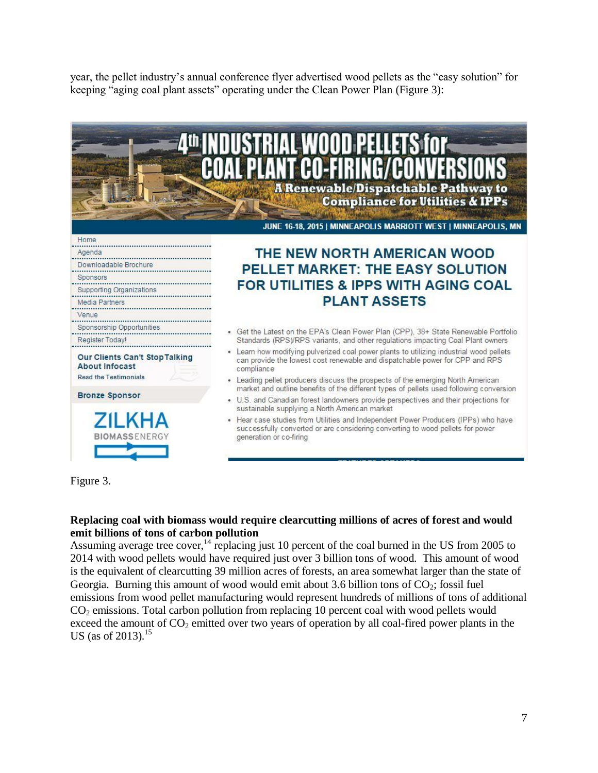year, the pellet industry's annual conference flyer advertised wood pellets as the "easy solution" for keeping "aging coal plant assets" operating under the Clean Power Plan (Figure 3):



Figure 3.

#### **Replacing coal with biomass would require clearcutting millions of acres of forest and would emit billions of tons of carbon pollution**

Assuming average tree cover,<sup>14</sup> replacing just 10 percent of the coal burned in the US from 2005 to 2014 with wood pellets would have required just over 3 billion tons of wood. This amount of wood is the equivalent of clearcutting 39 million acres of forests, an area somewhat larger than the state of Georgia. Burning this amount of wood would emit about 3.6 billion tons of  $CO_2$ ; fossil fuel emissions from wood pellet manufacturing would represent hundreds of millions of tons of additional CO<sup>2</sup> emissions. Total carbon pollution from replacing 10 percent coal with wood pellets would exceed the amount of  $CO_2$  emitted over two years of operation by all coal-fired power plants in the US (as of 2013).<sup>15</sup>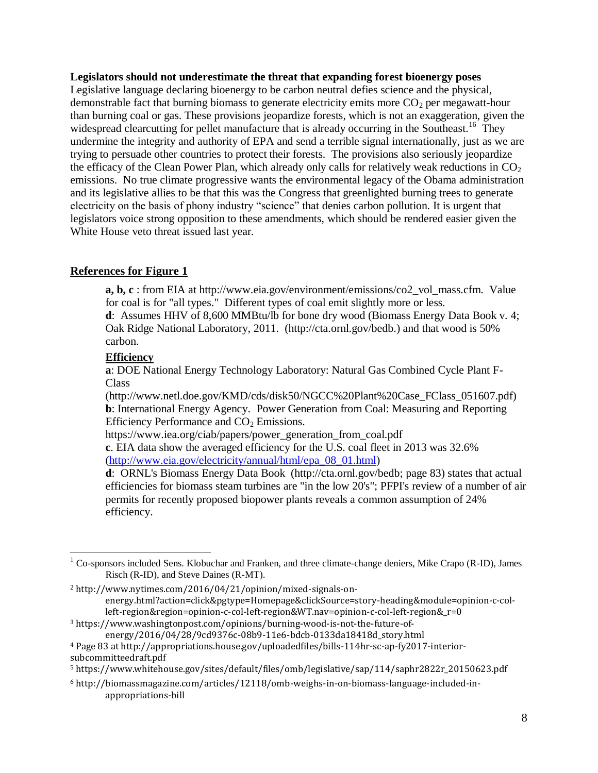#### **Legislators should not underestimate the threat that expanding forest bioenergy poses**

Legislative language declaring bioenergy to be carbon neutral defies science and the physical, demonstrable fact that burning biomass to generate electricity emits more  $CO<sub>2</sub>$  per megawatt-hour than burning coal or gas. These provisions jeopardize forests, which is not an exaggeration, given the widespread clearcutting for pellet manufacture that is already occurring in the Southeast.<sup>16</sup> They undermine the integrity and authority of EPA and send a terrible signal internationally, just as we are trying to persuade other countries to protect their forests. The provisions also seriously jeopardize the efficacy of the Clean Power Plan, which already only calls for relatively weak reductions in  $CO<sub>2</sub>$ emissions. No true climate progressive wants the environmental legacy of the Obama administration and its legislative allies to be that this was the Congress that greenlighted burning trees to generate electricity on the basis of phony industry "science" that denies carbon pollution. It is urgent that legislators voice strong opposition to these amendments, which should be rendered easier given the White House veto threat issued last year.

# **References for Figure 1**

**a, b, c** : from EIA at http://www.eia.gov/environment/emissions/co2\_vol\_mass.cfm. Value for coal is for "all types." Different types of coal emit slightly more or less.

**d**: Assumes HHV of 8,600 MMBtu/lb for bone dry wood (Biomass Energy Data Book v. 4; Oak Ridge National Laboratory, 2011. (http://cta.ornl.gov/bedb.) and that wood is 50% carbon.

## **Efficiency**

 $\overline{a}$ 

**a**: DOE National Energy Technology Laboratory: Natural Gas Combined Cycle Plant F-Class

(http://www.netl.doe.gov/KMD/cds/disk50/NGCC%20Plant%20Case\_FClass\_051607.pdf) **b**: International Energy Agency. Power Generation from Coal: Measuring and Reporting Efficiency Performance and  $CO<sub>2</sub>$  Emissions.

https://www.iea.org/ciab/papers/power\_generation\_from\_coal.pdf

**c**. EIA data show the averaged efficiency for the U.S. coal fleet in 2013 was 32.6% [\(http://www.eia.gov/electricity/annual/html/epa\\_08\\_01.html\)](http://www.eia.gov/electricity/annual/html/epa_08_01.html)

**d**: ORNL's Biomass Energy Data Book (http://cta.ornl.gov/bedb; page 83) states that actual efficiencies for biomass steam turbines are "in the low 20's"; PFPI's review of a number of air permits for recently proposed biopower plants reveals a common assumption of 24% efficiency.

 $1$  Co-sponsors included Sens. Klobuchar and Franken, and three climate-change deniers, Mike Crapo (R-ID), James Risch (R-ID), and Steve Daines (R-MT).

<sup>2</sup> http://www.nytimes.com/2016/04/21/opinion/mixed-signals-onenergy.html?action=click&pgtype=Homepage&clickSource=story-heading&module=opinion-c-col $left-$ region&region=opinion-c-col-left-region&WT.nav=opinion-c-col-left-region&\_r=0

<sup>3</sup> https://www.washingtonpost.com/opinions/burning-wood-is-not-the-future-of-

energy/2016/04/28/9cd9376c-08b9-11e6-bdcb-0133da18418d\_story.html

<sup>4</sup> Page 83 at http://appropriations.house.gov/uploadedfiles/bills-114hr-sc-ap-fy2017-interiorsubcommitteedraft.pdf

<sup>5</sup> https://www.whitehouse.gov/sites/default/files/omb/legislative/sap/114/saphr2822r\_20150623.pdf

<sup>6</sup> http://biomassmagazine.com/articles/12118/omb-weighs-in-on-biomass-language-included-inappropriations-bill